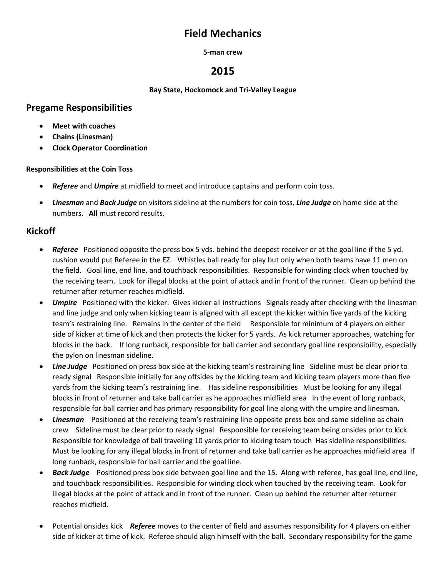# **Field Mechanics**

#### **5-man crew**

# **2015**

#### **Bay State, Hockomock and Tri-Valley League**

## **Pregame Responsibilities**

- **Meet with coaches**
- **Chains (Linesman)**
- **Clock Operator Coordination**

### **Responsibilities at the Coin Toss**

- *Referee* and *Umpire* at midfield to meet and introduce captains and perform coin toss.
- *Linesman* and *Back Judge* on visitors sideline at the numbers for coin toss, *Line Judge* on home side at the numbers. **All** must record results.

# **Kickoff**

- *Referee* Positioned opposite the press box 5 yds. behind the deepest receiver or at the goal line if the 5 yd. cushion would put Referee in the EZ. Whistles ball ready for play but only when both teams have 11 men on the field. Goal line, end line, and touchback responsibilities. Responsible for winding clock when touched by the receiving team. Look for illegal blocks at the point of attack and in front of the runner. Clean up behind the returner after returner reaches midfield.
- *Umpire* Positioned with the kicker. Gives kicker all instructions Signals ready after checking with the linesman and line judge and only when kicking team is aligned with all except the kicker within five yards of the kicking team's restraining line. Remains in the center of the field Responsible for minimum of 4 players on either side of kicker at time of kick and then protects the kicker for 5 yards. As kick returner approaches, watching for blocks in the back. If long runback, responsible for ball carrier and secondary goal line responsibility, especially the pylon on linesman sideline.
- *Line Judge* Positioned on press box side at the kicking team's restraining line Sideline must be clear prior to ready signal Responsible initially for any offsides by the kicking team and kicking team players more than five yards from the kicking team's restraining line. Has sideline responsibilities Must be looking for any illegal blocks in front of returner and take ball carrier as he approaches midfield area In the event of long runback, responsible for ball carrier and has primary responsibility for goal line along with the umpire and linesman.
- Linesman Positioned at the receiving team's restraining line opposite press box and same sideline as chain crew Sideline must be clear prior to ready signal Responsible for receiving team being onsides prior to kick Responsible for knowledge of ball traveling 10 yards prior to kicking team touch Has sideline responsibilities. Must be looking for any illegal blocks in front of returner and take ball carrier as he approaches midfield area If long runback, responsible for ball carrier and the goal line.
- *Back Judge* Positioned press box side between goal line and the 15. Along with referee, has goal line, end line, and touchback responsibilities. Responsible for winding clock when touched by the receiving team. Look for illegal blocks at the point of attack and in front of the runner. Clean up behind the returner after returner reaches midfield.
- Potential onsides kick *Referee* moves to the center of field and assumes responsibility for 4 players on either side of kicker at time of kick. Referee should align himself with the ball. Secondary responsibility for the game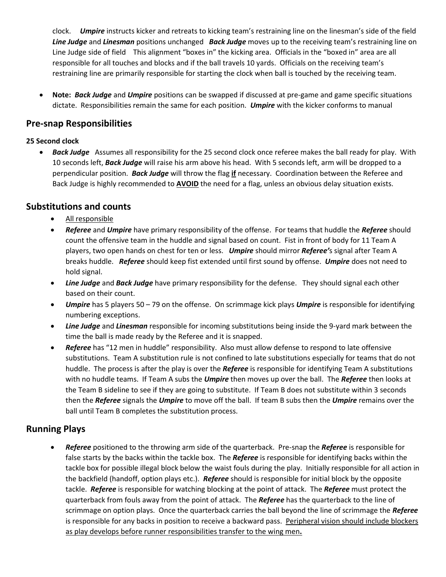clock. *Umpire* instructs kicker and retreats to kicking team's restraining line on the linesman's side of the field *Line Judge* and *Linesman* positions unchanged *Back Judge* moves up to the receiving team's restraining line on Line Judge side of field This alignment "boxes in" the kicking area. Officials in the "boxed in" area are all responsible for all touches and blocks and if the ball travels 10 yards. Officials on the receiving team's restraining line are primarily responsible for starting the clock when ball is touched by the receiving team.

 **Note:** *Back Judge* and *Umpire* positions can be swapped if discussed at pre-game and game specific situations dictate. Responsibilities remain the same for each position. *Umpire* with the kicker conforms to manual

# **Pre-snap Responsibilities**

### **25 Second clock**

 *Back Judge* Assumes all responsibility for the 25 second clock once referee makes the ball ready for play. With 10 seconds left, *Back Judge* will raise his arm above his head. With 5 seconds left, arm will be dropped to a perpendicular position. *Back Judge* will throw the flag **if** necessary. Coordination between the Referee and Back Judge is highly recommended to **AVOID** the need for a flag, unless an obvious delay situation exists.

## **Substitutions and counts**

- All responsible
- *Referee* and *Umpire* have primary responsibility of the offense. For teams that huddle the *Referee* should count the offensive team in the huddle and signal based on count. Fist in front of body for 11 Team A players, two open hands on chest for ten or less. *Umpire* should mirror *Referee'*s signal after Team A breaks huddle. *Referee* should keep fist extended until first sound by offense. *Umpire* does not need to hold signal.
- *Line Judge* and *Back Judge* have primary responsibility for the defense. They should signal each other based on their count.
- *Umpire* has 5 players 50 79 on the offense. On scrimmage kick plays *Umpire* is responsible for identifying numbering exceptions.
- *Line Judge* and *Linesman* responsible for incoming substitutions being inside the 9-yard mark between the time the ball is made ready by the Referee and it is snapped.
- *Referee* has "12 men in huddle" responsibility. Also must allow defense to respond to late offensive substitutions. Team A substitution rule is not confined to late substitutions especially for teams that do not huddle. The process is after the play is over the *Referee* is responsible for identifying Team A substitutions with no huddle teams. If Team A subs the *Umpire* then moves up over the ball. The *Referee* then looks at the Team B sideline to see if they are going to substitute. If Team B does not substitute within 3 seconds then the *Referee* signals the *Umpire* to move off the ball. If team B subs then the *Umpire* remains over the ball until Team B completes the substitution process.

## **Running Plays**

 *Referee* positioned to the throwing arm side of the quarterback. Pre-snap the *Referee* is responsible for false starts by the backs within the tackle box. The *Referee* is responsible for identifying backs within the tackle box for possible illegal block below the waist fouls during the play. Initially responsible for all action in the backfield (handoff, option plays etc.). *Referee* should is responsible for initial block by the opposite tackle. *Referee* is responsible for watching blocking at the point of attack. The *Referee* must protect the quarterback from fouls away from the point of attack. The *Referee* has the quarterback to the line of scrimmage on option plays. Once the quarterback carries the ball beyond the line of scrimmage the *Referee* is responsible for any backs in position to receive a backward pass. Peripheral vision should include blockers as play develops before runner responsibilities transfer to the wing men**.**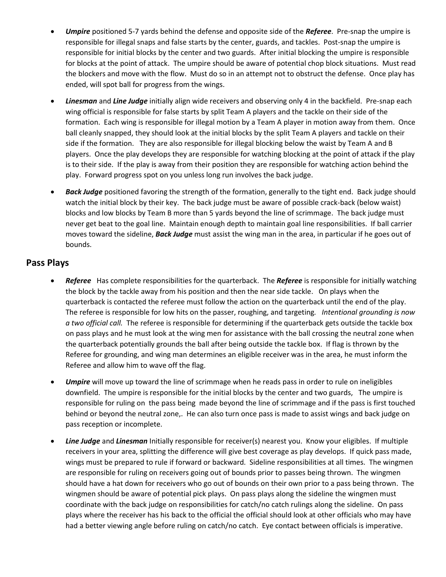- *Umpire* positioned 5-7 yards behind the defense and opposite side of the *Referee*. Pre-snap the umpire is responsible for illegal snaps and false starts by the center, guards, and tackles. Post-snap the umpire is responsible for initial blocks by the center and two guards. After initial blocking the umpire is responsible for blocks at the point of attack. The umpire should be aware of potential chop block situations. Must read the blockers and move with the flow. Must do so in an attempt not to obstruct the defense. Once play has ended, will spot ball for progress from the wings.
- *Linesman* and *Line Judge* initially align wide receivers and observing only 4 in the backfield. Pre-snap each wing official is responsible for false starts by split Team A players and the tackle on their side of the formation. Each wing is responsible for illegal motion by a Team A player in motion away from them. Once ball cleanly snapped, they should look at the initial blocks by the split Team A players and tackle on their side if the formation. They are also responsible for illegal blocking below the waist by Team A and B players. Once the play develops they are responsible for watching blocking at the point of attack if the play is to their side. If the play is away from their position they are responsible for watching action behind the play. Forward progress spot on you unless long run involves the back judge.
- *Back Judge* positioned favoring the strength of the formation, generally to the tight end. Back judge should watch the initial block by their key. The back judge must be aware of possible crack-back (below waist) blocks and low blocks by Team B more than 5 yards beyond the line of scrimmage. The back judge must never get beat to the goal line. Maintain enough depth to maintain goal line responsibilities. If ball carrier moves toward the sideline, *Back Judge* must assist the wing man in the area, in particular if he goes out of bounds.

## **Pass Plays**

- *Referee* Has complete responsibilities for the quarterback. The *Referee* is responsible for initially watching the block by the tackle away from his position and then the near side tackle. On plays when the quarterback is contacted the referee must follow the action on the quarterback until the end of the play. The referee is responsible for low hits on the passer, roughing, and targeting*. Intentional grounding is now a two official call.* The referee is responsible for determining if the quarterback gets outside the tackle box on pass plays and he must look at the wing men for assistance with the ball crossing the neutral zone when the quarterback potentially grounds the ball after being outside the tackle box. If flag is thrown by the Referee for grounding, and wing man determines an eligible receiver was in the area, he must inform the Referee and allow him to wave off the flag.
- *Umpire* will move up toward the line of scrimmage when he reads pass in order to rule on ineligibles downfield. The umpire is responsible for the initial blocks by the center and two guards, The umpire is responsible for ruling on the pass being made beyond the line of scrimmage and if the pass is first touched behind or beyond the neutral zone,. He can also turn once pass is made to assist wings and back judge on pass reception or incomplete.
- *Line Judge* and *Linesman* Initially responsible for receiver(s) nearest you. Know your eligibles. If multiple receivers in your area, splitting the difference will give best coverage as play develops. If quick pass made, wings must be prepared to rule if forward or backward. Sideline responsibilities at all times. The wingmen are responsible for ruling on receivers going out of bounds prior to passes being thrown. The wingmen should have a hat down for receivers who go out of bounds on their own prior to a pass being thrown. The wingmen should be aware of potential pick plays. On pass plays along the sideline the wingmen must coordinate with the back judge on responsibilities for catch/no catch rulings along the sideline. On pass plays where the receiver has his back to the official the official should look at other officials who may have had a better viewing angle before ruling on catch/no catch. Eye contact between officials is imperative.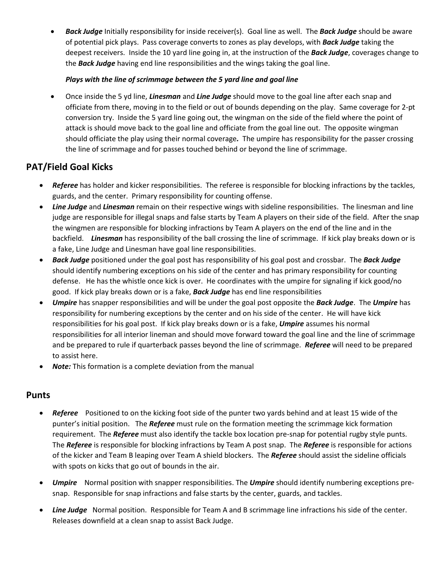*Back Judge* Initially responsibility for inside receiver(s). Goal line as well. The *Back Judge* should be aware of potential pick plays. Pass coverage converts to zones as play develops, with *Back Judge* taking the deepest receivers. Inside the 10 yard line going in, at the instruction of the *Back Judge*, coverages change to the *Back Judge* having end line responsibilities and the wings taking the goal line.

### *Plays with the line of scrimmage between the 5 yard line and goal line*

 Once inside the 5 yd line, *Linesman* and *Line Judge* should move to the goal line after each snap and officiate from there, moving in to the field or out of bounds depending on the play. Same coverage for 2-pt conversion try. Inside the 5 yard line going out, the wingman on the side of the field where the point of attack is should move back to the goal line and officiate from the goal line out. The opposite wingman should officiate the play using their normal coverage*.* The umpire has responsibility for the passer crossing the line of scrimmage and for passes touched behind or beyond the line of scrimmage.

# **PAT/Field Goal Kicks**

- *Referee* has holder and kicker responsibilities. The referee is responsible for blocking infractions by the tackles, guards, and the center. Primary responsibility for counting offense.
- *Line Judge* and *Linesman* remain on their respective wings with sideline responsibilities. The linesman and line judge are responsible for illegal snaps and false starts by Team A players on their side of the field. After the snap the wingmen are responsible for blocking infractions by Team A players on the end of the line and in the backfield. *Linesman* has responsibility of the ball crossing the line of scrimmage. If kick play breaks down or is a fake, Line Judge and Linesman have goal line responsibilities.
- *Back Judge* positioned under the goal post has responsibility of his goal post and crossbar. The *Back Judge* should identify numbering exceptions on his side of the center and has primary responsibility for counting defense. He has the whistle once kick is over. He coordinates with the umpire for signaling if kick good/no good. If kick play breaks down or is a fake, *Back Judge* has end line responsibilities
- *Umpire* has snapper responsibilities and will be under the goal post opposite the *Back Judge*. The *Umpire* has responsibility for numbering exceptions by the center and on his side of the center. He will have kick responsibilities for his goal post. If kick play breaks down or is a fake, *Umpire* assumes his normal responsibilities for all interior lineman and should move forward toward the goal line and the line of scrimmage and be prepared to rule if quarterback passes beyond the line of scrimmage. *Referee* will need to be prepared to assist here.
- *Note:* This formation is a complete deviation from the manual

## **Punts**

- *Referee* Positioned to on the kicking foot side of the punter two yards behind and at least 15 wide of the punter's initial position. The *Referee* must rule on the formation meeting the scrimmage kick formation requirement. The *Referee* must also identify the tackle box location pre-snap for potential rugby style punts. The *Referee* is responsible for blocking infractions by Team A post snap. The *Referee* is responsible for actions of the kicker and Team B leaping over Team A shield blockers. The *Referee* should assist the sideline officials with spots on kicks that go out of bounds in the air.
- *Umpire* Normal position with snapper responsibilities. The *Umpire* should identify numbering exceptions presnap. Responsible for snap infractions and false starts by the center, guards, and tackles.
- *Line Judge* Normal position. Responsible for Team A and B scrimmage line infractions his side of the center. Releases downfield at a clean snap to assist Back Judge.